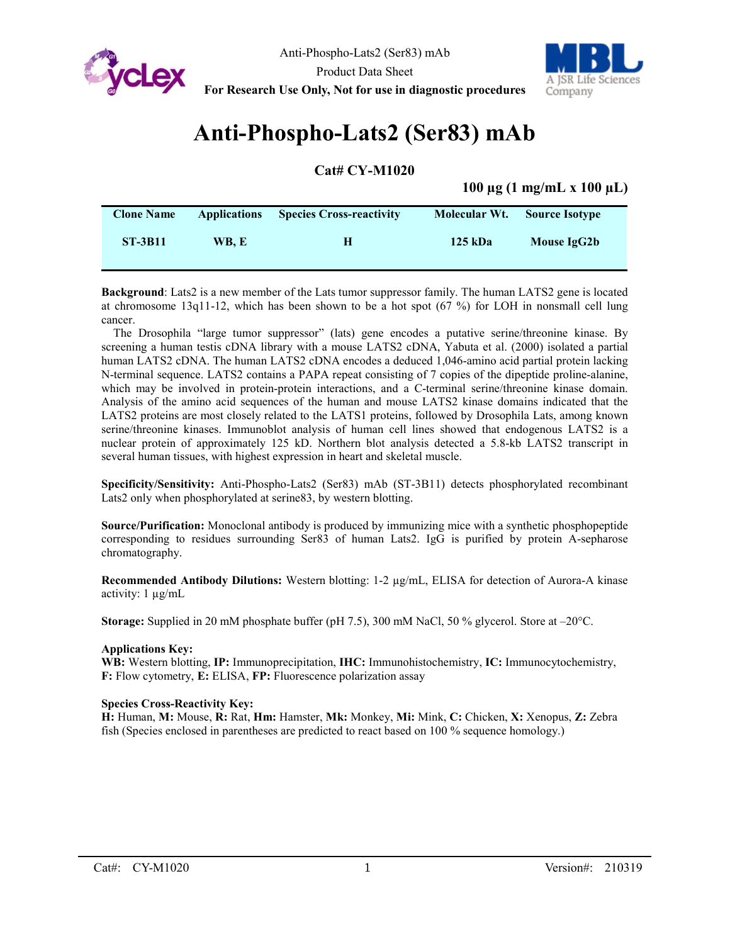



# **Anti-Phospho-Lats2 (Ser83) mAb**

**Cat# CY-M1020**

# **100 µg (1 mg/mL x 100 µL)**

| <b>Clone Name</b> | <b>Applications</b> | <b>Species Cross-reactivity</b> |         | Molecular Wt. Source Isotype |  |
|-------------------|---------------------|---------------------------------|---------|------------------------------|--|
| <b>ST-3B11</b>    | WB. E               | н                               | 125 kDa | Mouse IgG2b                  |  |

**Background**: Lats2 is a new member of the Lats tumor suppressor family. The human LATS2 gene is located at chromosome 13q11-12, which has been shown to be a hot spot (67 %) for LOH in nonsmall cell lung cancer.

The Drosophila "large tumor suppressor" (lats) gene encodes a putative serine/threonine kinase. By screening a human testis cDNA library with a mouse LATS2 cDNA, Yabuta et al. (2000) isolated a partial human LATS2 cDNA. The human LATS2 cDNA encodes a deduced 1,046-amino acid partial protein lacking N-terminal sequence. LATS2 contains a PAPA repeat consisting of 7 copies of the dipeptide proline-alanine, which may be involved in protein-protein interactions, and a C-terminal serine/threonine kinase domain. Analysis of the amino acid sequences of the human and mouse LATS2 kinase domains indicated that the LATS2 proteins are most closely related to the LATS1 proteins, followed by Drosophila Lats, among known serine/threonine kinases. Immunoblot analysis of human cell lines showed that endogenous LATS2 is a nuclear protein of approximately 125 kD. Northern blot analysis detected a 5.8-kb LATS2 transcript in several human tissues, with highest expression in heart and skeletal muscle.

**Specificity/Sensitivity:** Anti-Phospho-Lats2 (Ser83) mAb (ST-3B11) detects phosphorylated recombinant Lats2 only when phosphorylated at serine83, by western blotting.

**Source/Purification:** Monoclonal antibody is produced by immunizing mice with a synthetic phosphopeptide corresponding to residues surrounding Ser83 of human Lats2. IgG is purified by protein A-sepharose chromatography.

**Recommended Antibody Dilutions:** Western blotting: 1-2 µg/mL, ELISA for detection of Aurora-A kinase activity: 1 µg/mL

**Storage:** Supplied in 20 mM phosphate buffer (pH 7.5), 300 mM NaCl, 50 % glycerol. Store at –20°C.

## **Applications Key:**

**WB:** Western blotting, **IP:** Immunoprecipitation, **IHC:** Immunohistochemistry, **IC:** Immunocytochemistry, **F:** Flow cytometry, **E:** ELISA, **FP:** Fluorescence polarization assay

#### **Species Cross-Reactivity Key:**

**H:** Human, **M:** Mouse, **R:** Rat, **Hm:** Hamster, **Mk:** Monkey, **Mi:** Mink, **C:** Chicken, **X:** Xenopus, **Z:** Zebra fish (Species enclosed in parentheses are predicted to react based on 100 % sequence homology.)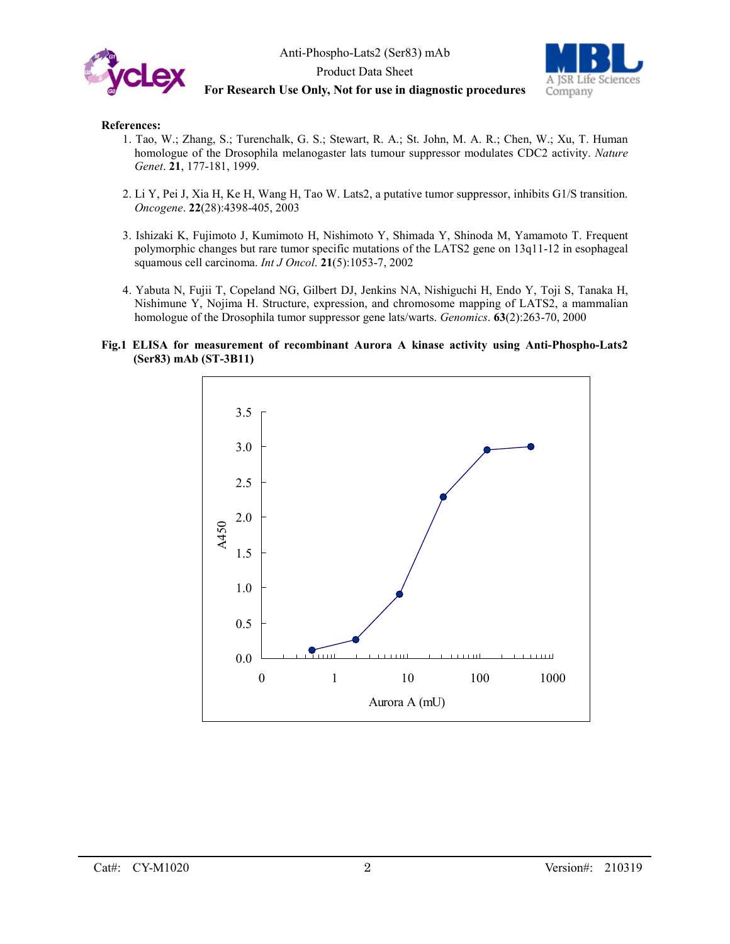



# **For Research Use Only, Not for use in diagnostic procedures**

## **References:**

- 1. Tao, W.; Zhang, S.; Turenchalk, G. S.; Stewart, R. A.; St. John, M. A. R.; Chen, W.; Xu, T. Human homologue of the Drosophila melanogaster lats tumour suppressor modulates CDC2 activity. *Nature Genet*. **21**, 177-181, 1999.
- 2. Li Y, Pei J, Xia H, Ke H, Wang H, Tao W. Lats2, a putative tumor suppressor, inhibits G1/S transition. *Oncogene*. **22**(28):4398-405, 2003
- 3. Ishizaki K, Fujimoto J, Kumimoto H, Nishimoto Y, Shimada Y, Shinoda M, Yamamoto T. Frequent polymorphic changes but rare tumor specific mutations of the LATS2 gene on 13q11-12 in esophageal squamous cell carcinoma. *Int J Oncol*. **21**(5):1053-7, 2002
- 4. Yabuta N, Fujii T, Copeland NG, Gilbert DJ, Jenkins NA, Nishiguchi H, Endo Y, Toji S, Tanaka H, Nishimune Y, Nojima H. Structure, expression, and chromosome mapping of LATS2, a mammalian homologue of the Drosophila tumor suppressor gene lats/warts. *Genomics*. **63**(2):263-70, 2000
- **Fig.1 ELISA for measurement of recombinant Aurora A kinase activity using Anti-Phospho-Lats2 (Ser83) mAb (ST-3B11)**

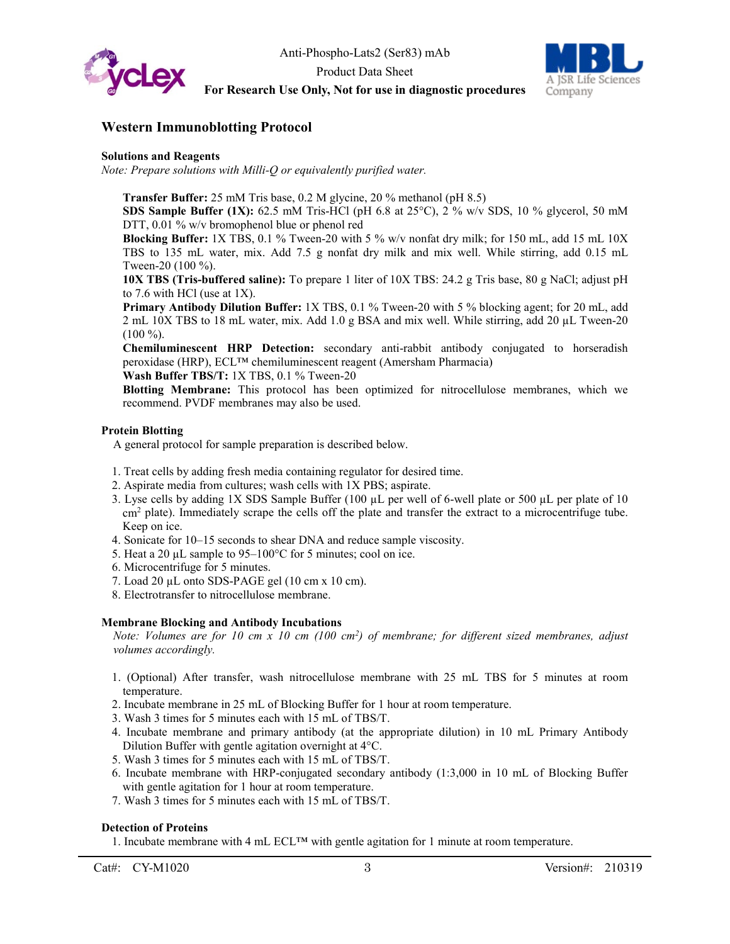



# **Western Immunoblotting Protocol**

#### **Solutions and Reagents**

*Note: Prepare solutions with Milli-Q or equivalently purified water.*

**Transfer Buffer:** 25 mM Tris base, 0.2 M glycine, 20 % methanol (pH 8.5)

**SDS Sample Buffer (1X):** 62.5 mM Tris-HCl (pH 6.8 at 25<sup>o</sup>C), 2 % w/v SDS, 10 % glycerol, 50 mM DTT, 0.01 % w/v bromophenol blue or phenol red

**Blocking Buffer:** 1X TBS, 0.1 % Tween-20 with 5 % w/v nonfat dry milk; for 150 mL, add 15 mL 10X TBS to 135 mL water, mix. Add 7.5 g nonfat dry milk and mix well. While stirring, add 0.15 mL Tween-20 (100 %).

**10X TBS (Tris-buffered saline):** To prepare 1 liter of 10X TBS: 24.2 g Tris base, 80 g NaCl; adjust pH to 7.6 with HCl (use at 1X).

**Primary Antibody Dilution Buffer:** 1X TBS, 0.1 % Tween-20 with 5 % blocking agent; for 20 mL, add 2 mL 10X TBS to 18 mL water, mix. Add 1.0 g BSA and mix well. While stirring, add 20 µL Tween-20 (100 %).

**Chemiluminescent HRP Detection:** secondary anti-rabbit antibody conjugated to horseradish peroxidase (HRP), ECL™ chemiluminescent reagent (Amersham Pharmacia)

**Wash Buffer TBS/T:** 1X TBS, 0.1 % Tween-20

**Blotting Membrane:** This protocol has been optimized for nitrocellulose membranes, which we recommend. PVDF membranes may also be used.

## **Protein Blotting**

A general protocol for sample preparation is described below.

- 1. Treat cells by adding fresh media containing regulator for desired time.
- 2. Aspirate media from cultures; wash cells with 1X PBS; aspirate.
- 3. Lyse cells by adding 1X SDS Sample Buffer (100 µL per well of 6-well plate or 500 µL per plate of 10 cm<sup>2</sup> plate). Immediately scrape the cells off the plate and transfer the extract to a microcentrifuge tube. Keep on ice.
- 4. Sonicate for 10–15 seconds to shear DNA and reduce sample viscosity.
- 5. Heat a 20  $\mu$ L sample to 95–100 $\degree$ C for 5 minutes; cool on ice.
- 6. Microcentrifuge for 5 minutes.
- 7. Load 20 µL onto SDS-PAGE gel (10 cm x 10 cm).
- 8. Electrotransfer to nitrocellulose membrane.

## **Membrane Blocking and Antibody Incubations**

*Note: Volumes are for 10 cm x 10 cm (100 cm2 ) of membrane; for different sized membranes, adjust volumes accordingly.*

- 1. (Optional) After transfer, wash nitrocellulose membrane with 25 mL TBS for 5 minutes at room temperature.
- 2. Incubate membrane in 25 mL of Blocking Buffer for 1 hour at room temperature.
- 3. Wash 3 times for 5 minutes each with 15 mL of TBS/T.
- 4. Incubate membrane and primary antibody (at the appropriate dilution) in 10 mL Primary Antibody Dilution Buffer with gentle agitation overnight at 4°C.
- 5. Wash 3 times for 5 minutes each with 15 mL of TBS/T.
- 6. Incubate membrane with HRP-conjugated secondary antibody (1:3,000 in 10 mL of Blocking Buffer with gentle agitation for 1 hour at room temperature.
- 7. Wash 3 times for 5 minutes each with 15 mL of TBS/T.

# **Detection of Proteins**

1. Incubate membrane with 4 mL ECL<sup>™</sup> with gentle agitation for 1 minute at room temperature.